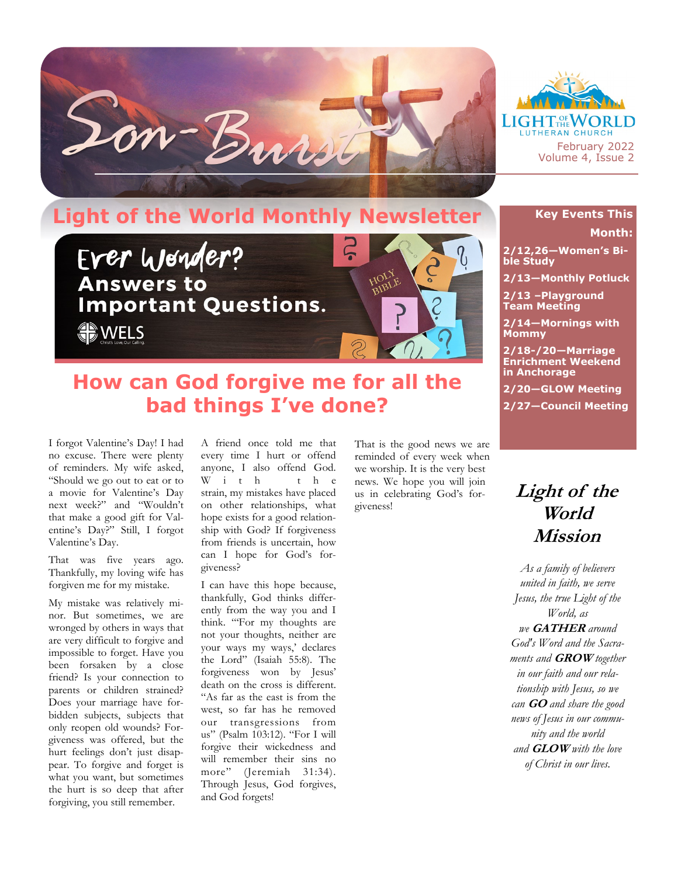



## **Light of the World Monthly Newsletter**



## **How can God forgive me for all the bad things I've done?**

I forgot Valentine's Day! I had no excuse. There were plenty of reminders. My wife asked, "Should we go out to eat or to a movie for Valentine's Day next week?" and "Wouldn't that make a good gift for Valentine's Day?" Still, I forgot Valentine's Day.

That was five years ago. Thankfully, my loving wife has forgiven me for my mistake.

My mistake was relatively minor. But sometimes, we are wronged by others in ways that are very difficult to forgive and impossible to forget. Have you been forsaken by a close friend? Is your connection to parents or children strained? Does your marriage have forbidden subjects, subjects that only reopen old wounds? Forgiveness was offered, but the hurt feelings don't just disappear. To forgive and forget is what you want, but sometimes the hurt is so deep that after forgiving, you still remember.

A friend once told me that every time I hurt or offend anyone, I also offend God.  $W$  i t h strain, my mistakes have placed on other relationships, what hope exists for a good relationship with God? If forgiveness from friends is uncertain, how can I hope for God's forgiveness?

I can have this hope because, thankfully, God thinks differently from the way you and I think. "'For my thoughts are not your thoughts, neither are your ways my ways,' declares the Lord" (Isaiah 55:8). The forgiveness won by Jesus' death on the cross is different. "As far as the east is from the west, so far has he removed our transgressions from us" (Psalm 103:12). "For I will forgive their wickedness and will remember their sins no more" (Jeremiah 31:34). Through Jesus, God forgives, and God forgets!

That is the good news we are reminded of every week when we worship. It is the very best news. We hope you will join us in celebrating God's forgiveness!

## **Key Events This Month:**

**2/12,26—Women's Bible Study**

**2/13—Monthly Potluck**

**2/13 –Playground Team Meeting**

**2/14—Mornings with Mommy**

**2/18-/20—Marriage Enrichment Weekend in Anchorage**

**2/20—GLOW Meeting**

**2/27—Council Meeting**

## **Light of the World Mission**

*As a family of believers united in faith, we serve Jesus, the true Light of the World, as we* **GATHER** *around God's Word and the Sacraments and* **GROW** *together in our faith and our relationship with Jesus, so we can* **GO** *and share the good news of Jesus in our community and the world and* **GLOW** *with the love of Christ in our lives.*